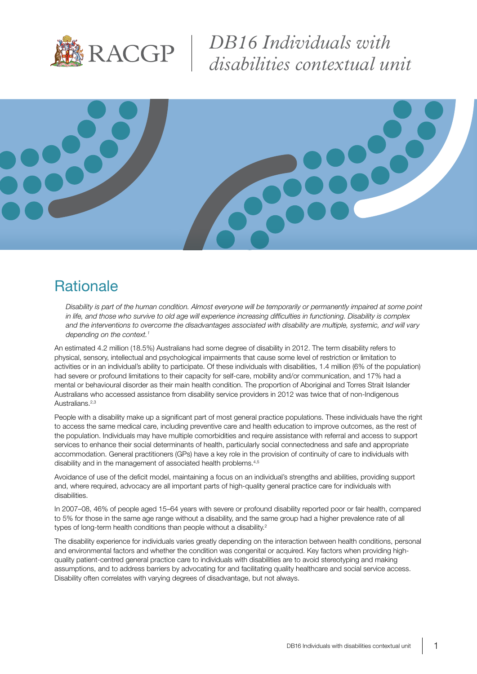

*DB16 Individuals with disabilities contextual unit*



#### **Rationale**

*Disability is part of the human condition. Almost everyone will be temporarily or permanently impaired at some point in life, and those who survive to old age will experience increasing difficulties in functioning. Disability is complex and the interventions to overcome the disadvantages associated with disability are multiple, systemic, and will vary depending on the context.1*

An estimated 4.2 million (18.5%) Australians had some degree of disability in 2012. The term disability refers to physical, sensory, intellectual and psychological impairments that cause some level of restriction or limitation to activities or in an individual's ability to participate. Of these individuals with disabilities, 1.4 million (6% of the population) had severe or profound limitations to their capacity for self-care, mobility and/or communication, and 17% had a mental or behavioural disorder as their main health condition. The proportion of Aboriginal and Torres Strait Islander Australians who accessed assistance from disability service providers in 2012 was twice that of non-Indigenous Australians.<sup>2,3</sup>

People with a disability make up a significant part of most general practice populations. These individuals have the right to access the same medical care, including preventive care and health education to improve outcomes, as the rest of the population. Individuals may have multiple comorbidities and require assistance with referral and access to support services to enhance their social determinants of health, particularly social connectedness and safe and appropriate accommodation. General practitioners (GPs) have a key role in the provision of continuity of care to individuals with disability and in the management of associated health problems.<sup>4,5</sup>

Avoidance of use of the deficit model, maintaining a focus on an individual's strengths and abilities, providing support and, where required, advocacy are all important parts of high-quality general practice care for individuals with disabilities.

In 2007–08, 46% of people aged 15–64 years with severe or profound disability reported poor or fair health, compared to 5% for those in the same age range without a disability, and the same group had a higher prevalence rate of all types of long-term health conditions than people without a disability.<sup>2</sup>

The disability experience for individuals varies greatly depending on the interaction between health conditions, personal and environmental factors and whether the condition was congenital or acquired. Key factors when providing highquality patient-centred general practice care to individuals with disabilities are to avoid stereotyping and making assumptions, and to address barriers by advocating for and facilitating quality healthcare and social service access. Disability often correlates with varying degrees of disadvantage, but not always.